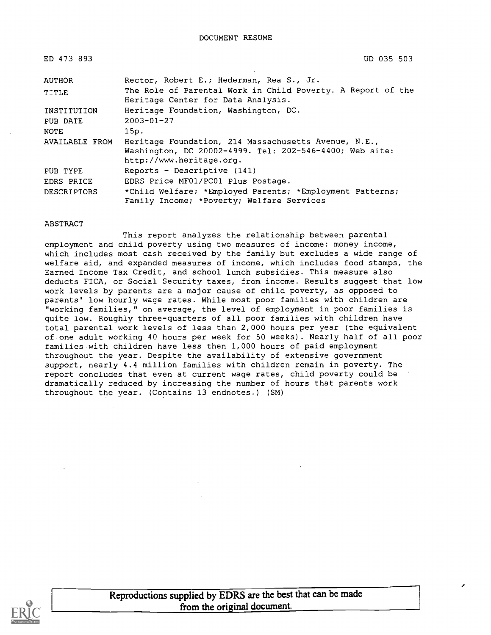| ED 473 893         | UD 035 503                                                                                                                                  |
|--------------------|---------------------------------------------------------------------------------------------------------------------------------------------|
| <b>AUTHOR</b>      | Rector, Robert E.; Hederman, Rea S., Jr.                                                                                                    |
| TITLE              | The Role of Parental Work in Child Poverty. A Report of the<br>Heritage Center for Data Analysis.                                           |
| INSTITUTION        | Heritage Foundation, Washington, DC.                                                                                                        |
| PUB DATE           | $2003 - 01 - 27$                                                                                                                            |
| NOTE               | 15p.                                                                                                                                        |
| AVAILABLE FROM     | Heritage Foundation, 214 Massachusetts Avenue, N.E.,<br>Washington, DC 20002-4999. Tel: 202-546-4400; Web site:<br>http://www.heritage.org. |
| PUB TYPE           | Reports - Descriptive (141)                                                                                                                 |
| EDRS PRICE         | EDRS Price MF01/PC01 Plus Postage.                                                                                                          |
| <b>DESCRIPTORS</b> | *Child Welfare; *Employed Parents; *Employment Patterns;<br>Family Income; *Poverty; Welfare Services                                       |

#### ABSTRACT

This report analyzes the relationship between parental employment and child poverty using two measures of income: money income, which includes most cash received by the family but excludes a wide range of welfare aid, and expanded measures of income, which includes food stamps, the Earned Income Tax Credit, and school lunch subsidies. This measure also deducts FICA, or Social Security taxes, from income. Results suggest that low work levels by parents are a major cause of child poverty, as opposed to parents' low hourly wage rates. While most poor families with children are "working families," on average, the level of employment in poor families is quite low. Roughly three-quarters of all poor families with children have total parental work levels of less than 2,000 hours per year (the equivalent of one adult working 40 hours per week for 50 weeks). Nearly half of all poor families with children have less then 1,000 hours of paid employment throughout the year. Despite the availability of extensive government support, nearly 4.4 million families with children remain in poverty. The report concludes that even at current wage rates, child poverty could be dramatically reduced by increasing the number of hours that parents work throughout the year. (Contains 13 endnotes.) (SM)

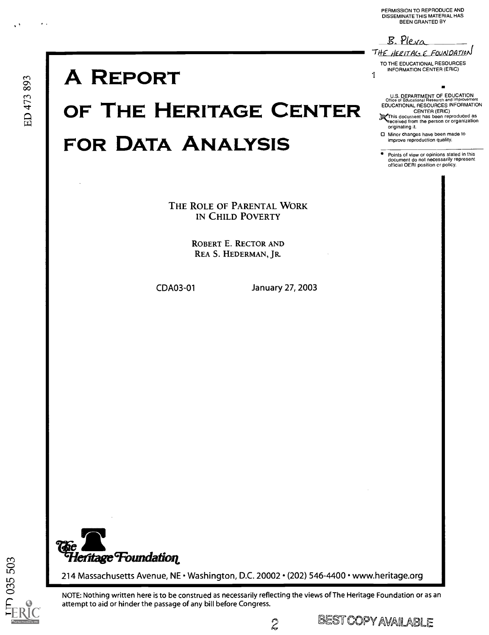PERMISSION TO REPRODUCE AND<br>DISSEMINATE THIS MATERIAL HAS<br>BEEN GRANTED BY

B. Pleva

originating it.

THE HERITACS E FOUNDATION TO THE EDUCATIONAL RESOURCES **INFORMATION CENTER (ERIC)** 1

U.S. DEPARTMENT OF EDUCATION<br>Office of Educational Research and Improveme

□ Minor changes have been made to

• Points of view or opinions stated in this<br>document do not necessarily represent official OERI position or policy.

improve reproduction quality.

EDUCATIONAL RESOURCES INFORMATION CENTER (ERIC)<br>
STATIS document has been reproduced as<br>
The contract of the person or organization

# **A REPORT**

# OF THE HERITAGE CENTER **FOR DATA ANALYSIS**

THE ROLE OF PARENTAL WORK IN CHILD POVERTY

> **ROBERT E. RECTOR AND** REA S. HEDERMAN, JR.

CDA03-01

January 27, 2003



214 Massachusetts Avenue, NE · Washington, D.C. 20002 · (202) 546-4400 · www.heritage.org

NOTE: Nothing written here is to be construed as necessarily reflecting the views of The Heritage Foundation or as an attempt to aid or hinder the passage of any bill before Congress.

**BEST COPY AVAILABLE** 

 $\boldsymbol{\mathcal{Z}}$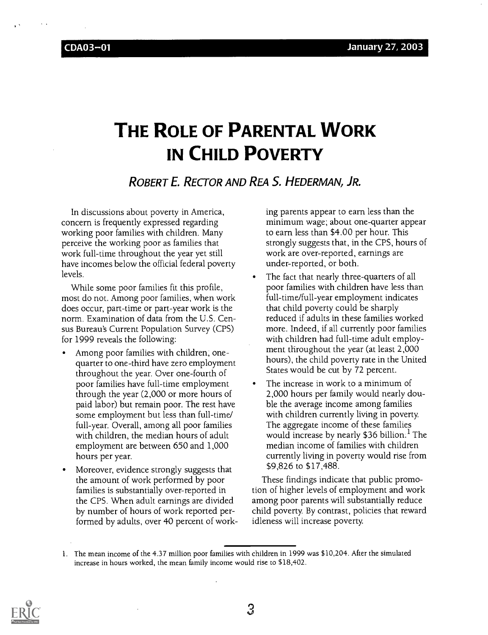## THE ROLE OF PARENTAL WORK IN CHILD POVERTY

## ROBERT E. RECTOR AND REA S. HEDERMAN, JR.

In discussions about poverty in America, concern is frequently expressed regarding working poor families with children. Many perceive the working poor as families that work full-time throughout the year yet still have incomes below the official federal poverty levels.

While some poor families fit this profile, most do not. Among poor families, when work does occur, part-time or part-year work is the norm. Examination of data from the U.S. Census Bureau's Current Population Survey (CPS) for 1999 reveals the following:

- Among poor families with children, onequarter to one-third have zero employment throughout the year. Over one-fourth of poor families have full-time employment through the year (2,000 or more hours of paid labor) but remain poor. The rest have some employment but less than full-time/ full-year. Overall, among all poor families with children, the median hours of adult employment are between 650 and 1,000 hours per year.
- Moreover, evidence strongly suggests that the amount of work performed by poor families is substantially over-reported in the CPS. When adult earnings are divided by number of hours of work reported performed by adults, over 40 percent of work-

ing parents appear to earn less than the minimum wage; about one-quarter appear to earn less than \$4.00 per hour. This strongly suggests that, in the CPS, hours of work are over-reported, earnings are under-reported, or both.

- The fact that nearly three-quarters of all poor families with children have less than full-time/full-year employment indicates that child poverty could be sharply reduced if adults in these families worked more. Indeed, if all currently poor families with children had full-time adult employment throughout the year (at least 2,000 hours), the child poverty rate in the United States would be cut by 72 percent.
- The increase in work to a minimum of 2,000 hours per family would nearly double the average income among families with children currently living in poverty. The aggregate income of these families would increase by nearly \$36 billion.<sup>1</sup> The median income of families with children currently living in poverty would rise from \$9,826 to \$17,488.

These findings indicate that public promotion of higher levels of employment and work among poor parents will substantially reduce child poverty. By contrast, policies that reward idleness will increase poverty.



3

<sup>1.</sup> The mean income of the 4.37 million poor families with children in 1999 was \$10,204. After the simulated increase in hours worked, the mean family income would rise to \$18,402.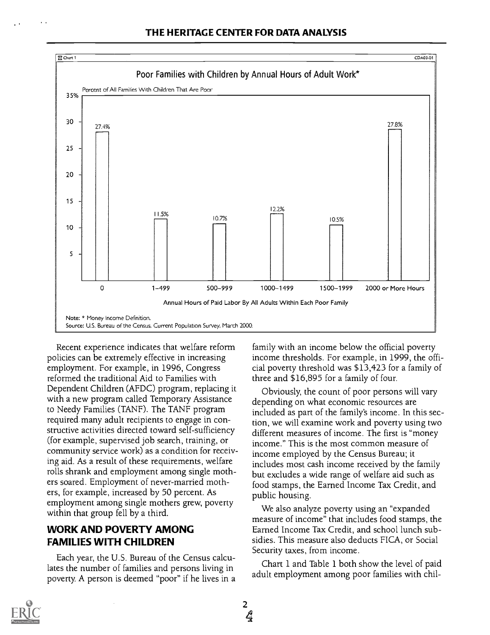

Recent experience indicates that welfare reform policies can be extremely effective in increasing employment. For example, in 1996, Congress reformed the traditional Aid to Families with Dependent Children (AFDC) program, replacing it with a new program called Temporary Assistance to Needy Families (TANF). The TANF program required many adult recipients to engage in constructive activities directed toward self-sufficiency (for example, supervised job search, training, or community service work) as a condition for receiving aid. As a result of these requirements, welfare rolls shrank and employment among single mothers soared. Employment of never-married mothers, for example, increased by 50 percent. As employment among single mothers grew, poverty within that group fell by a third.

## WORK AND POVERTY AMONG FAMILIES WITH CHILDREN

Each year, the U.S. Bureau of the Census calculates the number of families and persons living in poverty. A person is deemed "poor" if he lives in a family with an income below the official poverty income thresholds. For example, in 1999, the official poverty threshold was \$13,423 for a family of three and \$16,895 for a family of four.

Obviously, the count of poor persons will vary depending on what economic resources are included as part of the family's income. In this section, we will examine work and poverty using two different measures of income. The first is "money income." This is the most common measure of income employed by the Census Bureau; it includes most cash income received by the family but excludes a wide range of welfare aid such as food stamps, the Earned Income Tax Credit, and public housing.

We also analyze poverty using an "expanded measure of income" that includes food stamps, the Earned Income Tax Credit, and school lunch subsidies. This measure also deducts FICA, or Social Security taxes, from income.

Chart 1 and Table 1 both show the level of paid adult employment among poor families with chil-

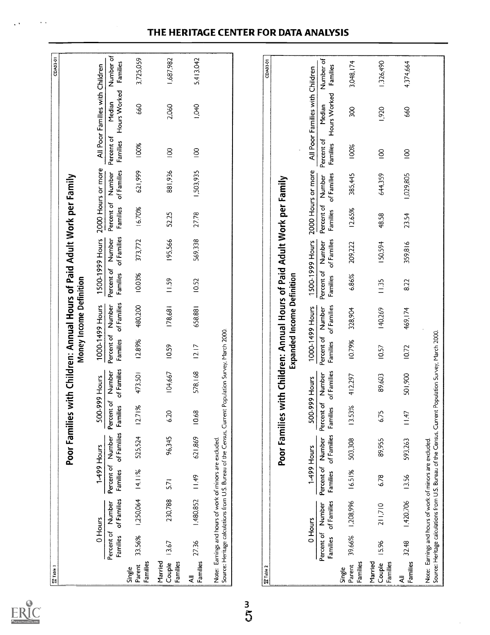| <b>Til</b> Table 1            |                                      |                                                                                                                                                                  |                                      |                       |                               |                       |                                      |                                                                                                              |                               |                       |                               |                       |                               |                                 | CDA03-01              |
|-------------------------------|--------------------------------------|------------------------------------------------------------------------------------------------------------------------------------------------------------------|--------------------------------------|-----------------------|-------------------------------|-----------------------|--------------------------------------|--------------------------------------------------------------------------------------------------------------|-------------------------------|-----------------------|-------------------------------|-----------------------|-------------------------------|---------------------------------|-----------------------|
|                               |                                      |                                                                                                                                                                  |                                      |                       |                               |                       |                                      | Poor Families with Children: Annual Hours of Paid Adult Work per Family<br>Money Income Definition           |                               |                       |                               |                       |                               |                                 |                       |
|                               |                                      | 0 Hours                                                                                                                                                          |                                      | 1-499 Hours           | 500-999 Hours                 |                       |                                      | 1000-1499 Hours                                                                                              |                               | 1500-1999 Hours       |                               | 2000 Hours or more    |                               | All Poor Families with Children |                       |
|                               | Percent of<br><b>Families</b>        | of Families<br>Number                                                                                                                                            | Percent of<br>Families               | of Families<br>Number | Percent of<br><b>Families</b> | of Families<br>Number | Percent of<br><b>Families</b>        | of Families<br>Number                                                                                        | Percent of<br><b>Families</b> | of Families<br>Number | Percent of<br>Families        | of Families<br>Number | Percent of<br>Families        | Hours Worked<br>Median          | Number of<br>Families |
| Families<br>Parent<br>Single  | 33.56%                               | 1,250,064                                                                                                                                                        | 4.1 %                                | 525,524               | 12.71%                        | 473.501               | 12.89%                               | 480,200                                                                                                      | 10.03%                        | 373,772               | 1670%                         | 621,999               | 100%                          | 660                             | 3,725,059             |
| Married<br>Families<br>Couple | 13.67                                | 230,788                                                                                                                                                          | 5.71                                 | 96,345                | 6.20                          | 104,667               | 10.59                                | 178,681                                                                                                      | 11.59                         | 195,566               | 52.25                         | 881,936               | $\overline{5}$                | 2,060                           | 1,687,982             |
| Families<br>₹                 | 27.36                                | 1,480,852                                                                                                                                                        | 11.49                                | 621,869               | 10.68                         | 578,168               | 12.17                                | 658,881                                                                                                      | <b>10.52</b>                  | 569,338               | 2778                          | 1,503,935             | $\overline{S}$                | 1,040                           | 5,413.042             |
|                               |                                      | Source: Heritage calculations from U.S. Bureau of the Census, Current Population Survey, March 2000.<br>Note: Earnings and hours of work of minors are excluded. |                                      |                       |                               |                       |                                      |                                                                                                              |                               |                       |                               |                       |                               |                                 |                       |
| 富 Table 2                     |                                      |                                                                                                                                                                  |                                      |                       |                               |                       |                                      |                                                                                                              |                               |                       |                               |                       |                               |                                 | CDA03-01              |
|                               |                                      |                                                                                                                                                                  |                                      |                       |                               |                       |                                      | Poor Families with Children: Annual Hours of Paid Adult Work per Family<br><b>Expanded Income Definition</b> |                               |                       |                               |                       |                               |                                 |                       |
|                               |                                      | 0 Hours                                                                                                                                                          |                                      | 1-499 Hours           | 500-999 Hours                 |                       |                                      | 1000-1499 Hours                                                                                              |                               | 1500-1999 Hours       | 2000 Hours or more            |                       |                               | All Poor Families with Children |                       |
|                               | Percent of Number<br><b>Families</b> | of Families                                                                                                                                                      | Percent of Number<br><b>Families</b> | of Families           | Percent of<br>Families        | of Families<br>Number | Percent of Number<br><b>Families</b> | of Families                                                                                                  | Percent of<br><b>Families</b> | of Families<br>Number | Percent of Number<br>Families | of Families           | Percent of<br><b>Families</b> | Hours Worked<br>Median          | Number of<br>Families |
| Families<br>Parent<br>Single  | 39.66%                               | 1,208,996                                                                                                                                                        | 16.51%                               | 503,308               | 13.53%                        | 412,297               | 10.79%                               | 328,904                                                                                                      | 6.86%                         | 209,222               | 12.65%                        | 385,445               | 100%                          | 300                             | 3,048,174             |
| Married<br>Families<br>Couple | 15.96                                | 211,710                                                                                                                                                          | 6.78                                 | 89,955                | 675                           | 89,603                | 10.57                                | 140,269                                                                                                      | II.35                         | IS0.594               | 48.58                         | 644,359               | $\overline{5}$                | 1,920                           | 1.326,490             |
| <b>Families</b><br>₹          | 32.48                                | 1,420,706                                                                                                                                                        | 13.56                                | 593,263               | 11.47                         | 501,900               | 10.72                                | 469,174                                                                                                      | 8.22                          | 359,816               | 23.54                         | 1,029,805             | $\overline{8}$                | 660                             | 4,374,664             |
|                               |                                      | Source: Heritage calculations from U.S. Bureau of the Census, Current Population Survey, March 2000.<br>Note: Earnings and hours of work of minors are excluded. |                                      |                       |                               |                       |                                      |                                                                                                              |                               |                       |                               |                       |                               |                                 |                       |

## THE HERITAGE CENTER FOR DATA ANALYSIS

ERIC

 $\sim$   $\sim$ 

 $\epsilon$  .

 $\frac{3}{5}$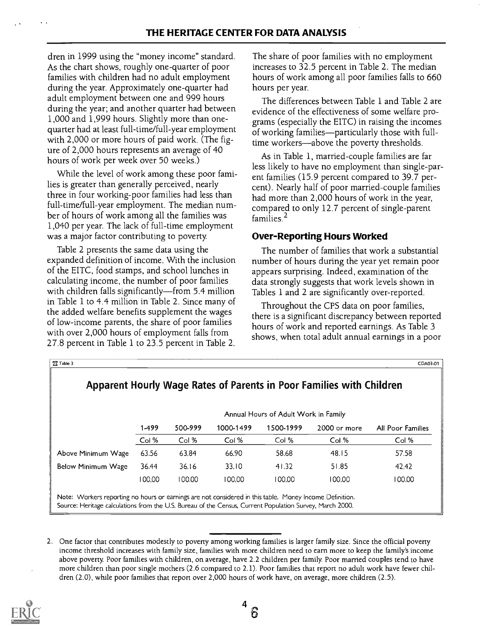dren in 1999 using the "money income" standard. As the chart shows, roughly one-quarter of poor families with children had no adult employment during the year. Approximately one-quarter had adult employment between one and 999 hours during the year; and another quarter had between 1,000 and 1,999 hours. Slightly more than onequarter had at least full-time/full-year employment with 2,000 or more hours of paid work. (The figure of 2,000 hours represents an average of 40 hours of work per week over 50 weeks.)

While the level of work among these poor families is greater than generally perceived, nearly three in four working-poor families had less than full-time/full-year employment. The median number of hours of work among all the families was 1,040 per year. The lack of full-time employment was a major factor contributing to poverty.

Table 2 presents the same data using the expanded definition of income. With the inclusion of the EITC, food stamps, and school lunches in calculating income, the number of poor families with children falls significantly-from 5.4 million in Table 1 to 4.4 million in Table 2. Since many of the added welfare benefits supplement the wages of low-income parents, the share of poor families with over 2,000 hours of employment falls from 27.8 percent in Table 1 to 23.5 percent in Table 2. The share of poor families with no employment increases to 32.5 percent in Table 2. The median hours of work among all poor families falls to 660 hours per year.

The differences between Table 1 and Table 2 are evidence of the effectiveness of some welfare programs (especially the EITC) in raising the incomes of working families—particularly those with fulltime workers-above the poverty thresholds.

As in Table 1, married-couple families are far less likely to have no employment than single-parent families (15.9 percent compared to 39.7 percent). Nearly half of poor married-couple families had more than 2,000 hours of work in the year, compared to only 12.7 percent of single-parent families<sup> $2$ </sup>

## Over-Reporting Hours Worked

The number of families that work a substantial number of hours during the year yet remain poor appears surprising. Indeed, examination of the data strongly suggests that work levels shown in Tables 1 and 2 are significantly over-reported.

Throughout the CPS data on poor families, there is a significant discrepancy between reported hours of work and reported earnings. As Table 3 shows, when total adult annual earnings in a poor

|                           |        |         |           | Annual Hours of Adult Work in Family |              |                          |
|---------------------------|--------|---------|-----------|--------------------------------------|--------------|--------------------------|
|                           | 1-499  | 500-999 | 1000-1499 | 1500-1999                            | 2000 or more | <b>All Poor Families</b> |
|                           | Col %  | Col %   | Col %     | Col %                                | Col %        | Col %                    |
| Above Minimum Wage        | 63.56  | 63.84   | 66.90     | 58.68                                | 48.15        | 57.58                    |
| <b>Below Minimum Wage</b> | 36.44  | 36.16   | 33.10     | 41.32                                | 51.85        | 42.42                    |
|                           | 100.00 | 100.00  | 100.00    | 100.00                               | 100.00       | 100.00                   |

<sup>2.</sup> One factor that contributes modestly to poverty among working families is larger family size. Since the official poverty income threshold increases with family size, families with more children need to earn more to keep the family's income above poverty. Poor families with children, on average, have 2.2 children per family. Poor married couples tend to have more children than poor single mothers (2.6 compared to 2.1). Poor families that report no adult work have fewer children (2.0), while poor families that report over 2,000 hours of work have, on average, more children (2.5).

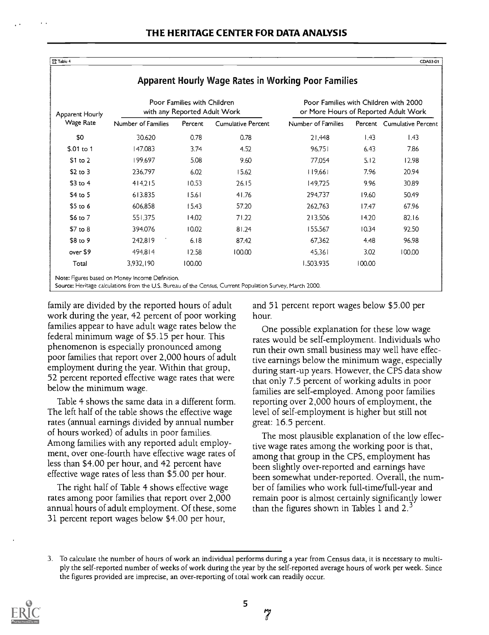Apparent Hourly Wage Rates in Working Poor Families

 $12$ Table 4 CDA03-01 |

| Apparent Hourly |                    | Poor Families with Children<br>with any Reported Adult Work |                           | Poor Families with Children with 2000<br>or More Hours of Reported Adult Work |                   |                            |  |  |
|-----------------|--------------------|-------------------------------------------------------------|---------------------------|-------------------------------------------------------------------------------|-------------------|----------------------------|--|--|
| Wage Rate       | Number of Families | Percent                                                     | <b>Cumulative Percent</b> | Number of Families                                                            |                   | Percent Cumulative Percent |  |  |
| \$0             | 30.620             | 0.78                                                        | 0.78                      | 21.448                                                                        | $\vert .43 \vert$ | 1.43                       |  |  |
| \$.01 to 1      | 147.083            | 3.74                                                        | 4.52                      | 96.751                                                                        | 6.43              | 7.86                       |  |  |
| \$1 to 2        | 199,697            | 5.08                                                        | 9.60                      | 77,054                                                                        | 5.12              | 12.98                      |  |  |
| $$2$ to 3       | 236,797            | 6.02                                                        | 15.62                     | 119,661                                                                       | 7.96              | 20.94                      |  |  |
| $$3$ to 4       | 414.215            | 10.53                                                       | 26.15                     | 149.725                                                                       | 9.96              | 30.89                      |  |  |
| \$4 to 5        | 613,835            | 15.61                                                       | 41.76                     | 294,737                                                                       | 19.60             | 50.49                      |  |  |
| $$5$ to 6       | 606,858            | 15.43                                                       | 57.20                     | 262,763                                                                       | 1747              | 67.96                      |  |  |
| \$6 to 7        | 551.375            | 14.02                                                       | 71.22                     | 213.506                                                                       | 14.20             | 82.16                      |  |  |
| $$7$ to 8       | 394.076            | 10.02                                                       | 81.24                     | 155,567                                                                       | 10.34             | 92.50                      |  |  |
| \$8 to 9        | 242,819            | 6.18                                                        | 87.42                     | 67,362                                                                        | 4.48              | 96.98                      |  |  |
| over \$9        | 494,814            | 12.58                                                       | 100.00                    | 45.361                                                                        | 3.02              | 100.00                     |  |  |
| Total           | 3,932,190          | 100.00                                                      |                           | 1.503.935                                                                     | 100.00            |                            |  |  |

#### family are divided by the reported hours of adult work during the year, 42 percent of poor working families appear to have adult wage rates below the federal minimum wage of \$5.15 per hour. This phenomenon is especially pronounced among poor families that report over 2,000 hours of adult employment during the year. Within that group, 52 percent reported effective wage rates that were below the minimum wage.

Table 4 shows the same data in a different form. The left half of the table shows the effective wage rates (annual earnings divided by annual number of hours worked) of adults in poor families. Among families with any reported adult employment, over one-fourth have effective wage rates of less than \$4.00 per hour, and 42 percent have effective wage rates of less than \$5.00 per hour.

The right half of Table 4 shows effective wage rates among poor families that report over 2,000 annual hours of adult employment. Of these, some 31 percent report wages below \$4.00 per hour,

and 51 percent report wages below \$5.00 per hour.

One possible explanation for these low wage rates would be self-employment. Individuals who run their own small business may well have effective earnings below the minimum wage, especially during start-up years. However, the CPS data show that only 7.5 percent of working adults in poor families are self-employed. Among poor families reporting over 2,000 hours of employment, the level of self-employment is higher but still not great: 16.5 percent.

The most plausible explanation of the low effective wage rates among the working poor is that, among that group in the CPS, employment has been slightly over-reported and earnings have been somewhat under-reported. Overall, the number of families who work full-time/full-year and remain poor is almost certainly significantly lower than the figures shown in Tables 1 and 2. $3$ 

<sup>3.</sup> To calculate the number of hours of work an individual performs during a year from Census data, it is necessary to multiply the self-reported number of weeks of work during the year by the self-reported average hours of work per week. Since the figures provided are imprecise, an over-reporting of total work can readily occur.



7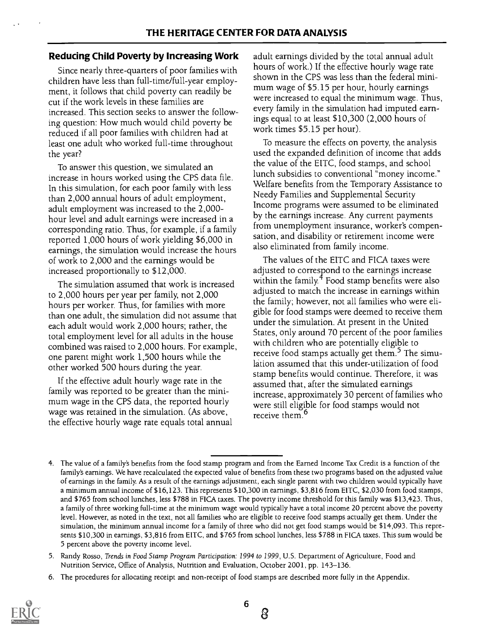## Reducing Child Poverty by Increasing Work

Since nearly three-quarters of poor families with children have less than full-time/full-year employment, it follows that child poverty can readily be cut if the work levels in these families are increased. This section seeks to answer the following question: How much would child poverty be reduced if all poor families with children had at least one adult who worked full-time throughout the year?

To answer this question, we simulated an increase in hours worked using the CPS data file. In this simulation, for each poor family with less than 2,000 annual hours of adult employment, adult employment was increased to the 2,000 hour level and adult earnings were increased in a corresponding ratio. Thus, for example, if a family reported 1,000 hours of work yielding \$6,000 in earnings, the simulation would increase the hours of work to 2,000 and the earnings would be increased proportionally to \$12,000.

The simulation assumed that work is increased to 2,000 hours per year per family, not 2,000 hours per worker. Thus, for families with more than one adult, the simulation did not assume that each adult would work 2,000 hours; rather, the total employment level for all adults in the house combined was raised to 2,000 hours. For example, one parent might work 1,500 hours while the other worked 500 hours during the year.

If the effective adult hourly wage rate in the family was reported to be greater than the minimum wage in the CPS data, the reported hourly wage was retained in the simulation. (As above, the effective hourly wage rate equals total annual adult earnings divided by the total annual adult hours of work.) If the effective hourly wage rate shown in the CPS was less than the federal minimum wage of \$5.15 per hour, hourly earnings were increased to equal the minimum wage. Thus, every family in the simulation had imputed earnings equal to at least \$10,300 (2,000 hours of work times \$5.15 per hour).

To measure the effects on poverty, the analysis used the expanded definition of income that adds the value of the EITC, food stamps, and school lunch subsidies to conventional "money income." Welfare benefits from the Temporary Assistance to Needy Families and Supplemental Security Income programs were assumed to be eliminated by the earnings increase. Any current payments from unemployment insurance, worker's compensation, and disability or retirement income were also eliminated from family income.

The values of the EITC and FICA taxes were adjusted to correspond to the earnings increase within the family. $4 \text{ Food stamp benefits were also}$ adjusted to match the increase in earnings within the family; however, not all families who were eligible for food stamps were deemed to receive them under the simulation. At present in the United States, only around 70 percent of the poor families with children who are potentially eligible to receive food stamps actually get them.<sup>5</sup> The simulation assumed that this under-utilization of food stamp benefits would continue. Therefore, it was assumed that, after the simulated earnings increase, approximately 30 percent of families who were still eligible for food stamps would not receive them.<sup>6</sup>

<sup>6.</sup> The procedures for allocating receipt and non-receipt of food stamps are described more fully in the Appendix.



<sup>4.</sup> The value of a family's benefits from the food stamp program and from the Earned Income Tax Credit is a function of the family's earnings. We have recalculated the expected value of benefits from these two programs based on the adjusted value of earnings in the family. As a result of the earnings adjustment, each single parent with two children would typically have a minimum annual income of \$16,123. This represents \$10,300 in earnings, \$3,816 from EITC, \$2,030 from food stamps, and \$765 from school lunches, less \$788 in FICA taxes. The poverty income threshold for this family was \$13,423. Thus, a family of three working full-time at the minimum wage would typically have a total income 20 percent above the poverty level. However, as noted in the text, not all families who are eligible to receive food stamps actually get them. Under the simulation, the minimum annual income for a family of three who did not get food stamps would be \$14,093. This represents \$10,300 in earnings, \$3,816 from EITC, and \$765 from school lunches, less \$788 in FICA taxes. This sum would be 5 percent above the poverty income level.

<sup>5.</sup> Randy Rosso, Trends in Food Stamp Program Participation: 1994 to 1999, U.S. Department of Agriculture, Food and Nutrition Service, Office of Analysis, Nutrition and Evaluation, October 2001, pp. 143-136.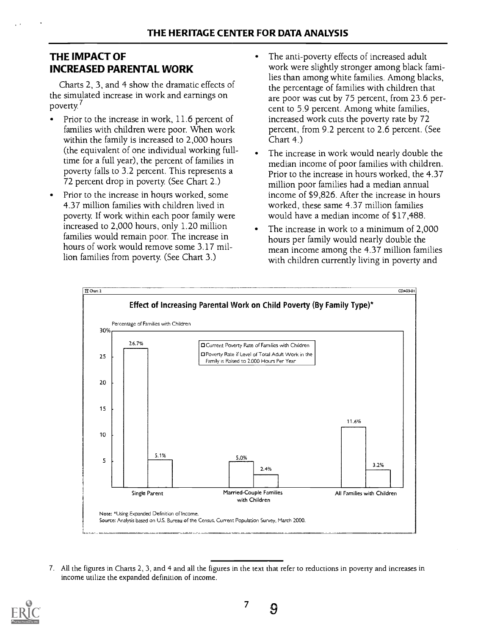## THE IMPACT OF INCREASED PARENTAL WORK

Charts 2, 3, and 4 show the dramatic effects of the simulated increase in work and earnings on poverty.<sup>7</sup>

- Prior to the increase in work, 11.6 percent of families with children were poor. When work within the family is increased to 2,000 hours (the equivalent of one individual working fulltime for a full year), the percent of families in poverty falls to 3.2 percent. This represents a 72 percent drop in poverty. (See Chart 2.)
- Prior to the increase in hours worked, some 4.37 million families with children lived in poverty. If work within each poor family were increased to 2,000 hours, only 1.20 million families would remain poor. The increase in hours of work would remove some 3.17 million families from poverty. (See Chart 3.)
- The anti-poverty effects of increased adult work were slightly stronger among black families than among white families. Among blacks, the percentage of families with children that are poor was cut by 75 percent, from 23.6 percent to 5.9 percent. Among white families, increased work cuts the poverty rate by 72 percent, from 9.2 percent to 2.6 percent. (See Chart 4.)
- The increase in work would nearly double the median income of poor families with children. Prior to the increase in hours worked, the 4.37 million poor families had a median annual income of \$9,826. After the increase in hours worked, these same 4.37 million families would have a median income of \$17,488.
- The increase in work to a minimum of 2,000 hours per family would nearly double the mean income among the 4.37 million families with children currently living in poverty and



7. All the figures in Charts 2, 3, and 4 and all the figures in the text that refer to reductions in poverty and increases in income utilize the expanded definition of income.

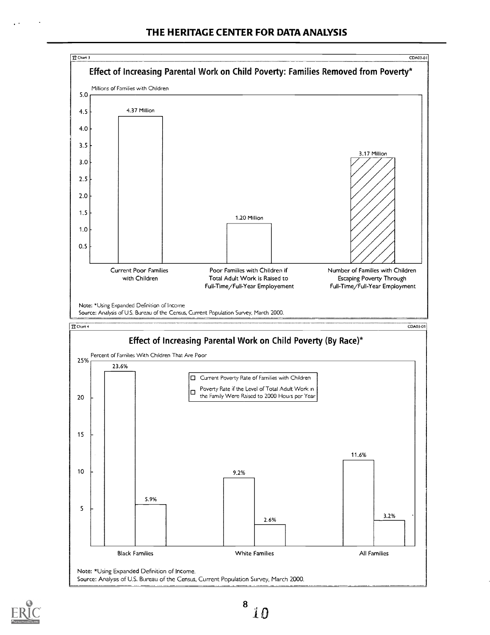

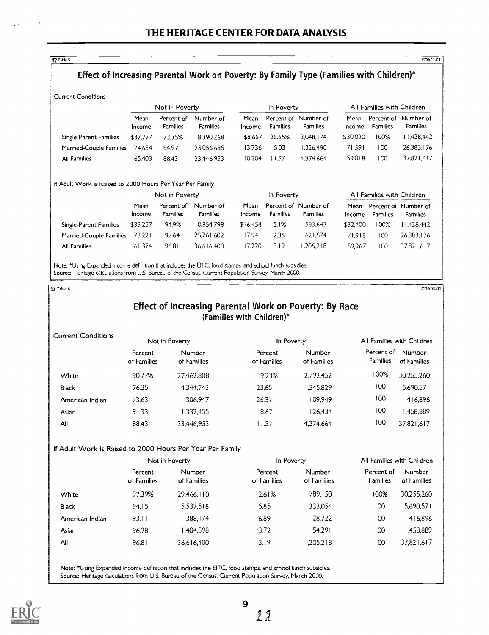$\Omega$  Table 5  $\sim$  CDA03-01  $\mid$ 

## Effect of Increasing Parental Work on Poverty: By Family Type (Families with Children)\*

Current Conditions

|                         |                | Not in Poverty                |                              |                | In Poverty                    |                              |                | All Families with Children    |                              |
|-------------------------|----------------|-------------------------------|------------------------------|----------------|-------------------------------|------------------------------|----------------|-------------------------------|------------------------------|
|                         | Mean<br>Income | Percent of<br><b>Families</b> | Number of<br><b>Families</b> | Mean<br>Income | Percent of<br><b>Families</b> | Number of<br><b>Families</b> | Mean<br>Income | Percent of<br><b>Families</b> | Number of<br><b>Families</b> |
| Single-Parent Families  | \$37.777       | 73.35%                        | 8.390.268                    | \$8.667        | 26.65%                        | 3.048.174                    | \$30.020       | 100%                          | 1.438,442                    |
| Married-Couple Families | 74.654         | 94.97                         | 25,056,685                   | 13.736         | 5.03                          | 1.326.490                    | 71.591         | 100                           | 26,383,176                   |
| All Families            | 65.403         | 88.43                         | 33.446.953                   | 10.204         | 11.57                         | 4.374.664                    | 59.018         | 100                           | 37,821,617                   |

#### If Adult Work is Raised to 2000 Hours Per Year Per Family

|                         |                       | Not in Poverty                |                              |                | In Poverty      |                                         |                | All Families with Children |                                         |
|-------------------------|-----------------------|-------------------------------|------------------------------|----------------|-----------------|-----------------------------------------|----------------|----------------------------|-----------------------------------------|
|                         | Mean<br><b>Income</b> | Percent of<br><b>Families</b> | Number of<br><b>Families</b> | Mean<br>income | <b>Families</b> | Percent of Number of<br><b>Families</b> | Mean<br>Income | <b>Families</b>            | Percent of Number of<br><b>Families</b> |
| Single-Parent Families  | \$33,257              | 94.9%                         | 10.854.798                   | \$16.454       | 5.1%            | 583.643                                 | \$32.400       | 100%                       | 11.438.442                              |
| Married-Couple Families | 73,221                | 97.64                         | 25.761.602                   | 17.941         | 2.36            | 621.574                                 | 71.918         | 100                        | 26.383.176                              |
| All Families            | 61.374                | 96.81                         | 36.616.400                   | 17.220         | 3.19            | 1.205.218                               | 59.967         | 100                        | 37.821.617                              |

Note: \*Using Expanded Income definition that includes the EITC, food stamps, and school lunch subsidies. Source: Heritage calculations from U.S. Bureau of the Census, Current Population Survey, March 2000.

#### $\alpha$  Table 6 CDA03-01 |  $\alpha$

## Effect of Increasing Parental Work on Poverty: By Race (Families with Children)\*

| <b>Current Conditions</b> |                        | Not in Poverty        | All Families with Children<br>In Poverty |                              |                               |                       |
|---------------------------|------------------------|-----------------------|------------------------------------------|------------------------------|-------------------------------|-----------------------|
|                           | Percent<br>of Families | Number<br>of Families | Percent<br>of Families                   | <b>Number</b><br>of Families | Percent of<br><b>Families</b> | Number<br>of Families |
| White                     | 90.77%                 | 27.462.808            | 9.23%                                    | 2.792.452                    | 100%                          | 30.255.260            |
| Black                     | 76.35                  | 4.344.743             | 23.65                                    | 1.345.829                    | 100                           | 5.690.571             |
| American Indian           | 73.63                  | 306.947               | 26.37                                    | 109.949                      | 100                           | 416.896               |
| Asian                     | 91.33                  | 1.332.455             | 8.67                                     | 126.434                      | 100                           | 1.458.889             |
| All                       | 88.43                  | 33.446.953            | 11.57                                    | 4.374.664                    | 100                           | 37,821,617            |

#### If Adult Work is Raised to 2000 Hours Per Year Per Family

|                 |                        | Not in Poverty               | In Poverty             |                       | All Families with Children |                       |
|-----------------|------------------------|------------------------------|------------------------|-----------------------|----------------------------|-----------------------|
|                 | Percent<br>of Families | <b>Number</b><br>of Families | Percent<br>of Families | Number<br>of Families | Percent of<br>Families     | Number<br>of Families |
| White           | 97.39%                 | 29.466.110                   | 2.61%                  | 789.150               | 100%                       | 30,255,260            |
| Black           | 94.15                  | 5,537.518                    | 5.85                   | 333.054               | 100                        | 5,690,571             |
| American Indian | 93.11                  | 388.174                      | 6.89                   | 28,722                | 100                        | 416.896               |
| Asian           | 96.28                  | l.404.598                    | $-3.72$                | 54.291                | 100                        | 1.458.889             |
| All             | 96.81                  | 36,616,400                   | 3.19                   | 1,205,218             | 100                        | 37.821.617            |
|                 |                        |                              |                        |                       |                            |                       |

Note: \*Using Expanded Income definition that includes the EITC, food stamps. and school lunch subsidies. Source: Heritage calculations from U.S. Bureau of the Census, Current Population Survey, March 2000.

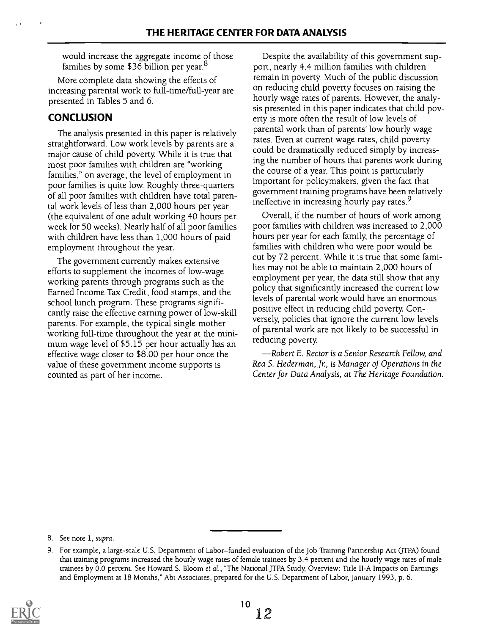would increase the aggregate income of those families by some \$36 billion per year.<sup>8</sup>

More complete data showing the effects of increasing parental work to full-time/full-year are presented in Tables 5 and 6.

## **CONCLUSION**

The analysis presented in this paper is relatively straightforward. Low work levels by parents are a major cause of child poverty. While it is true that most poor families with children are "working families," on average, the level of employment in poor families is quite low. Roughly three-quarters of all poor families with children have total parental work levels of less than 2,000 hours per year (the equivalent of one adult working 40 hours per week for 50 weeks). Nearly half of all poor families with children have less than 1,000 hours of paid employment throughout the year.

The government currently makes extensive efforts to supplement the incomes of low-wage working parents through programs such as the Earned Income Tax Credit, food stamps, and the school lunch program. These programs significantly raise the effective earning power of low-skill parents. For example, the typical single mother working full-time throughout the year at the minimum wage level of \$5.15 per hour actually has an effective wage closer to \$8.00 per hour once the value of these government income supports is counted as part of her income.

Despite the availability of this government support, nearly 4.4 million families with children remain in poverty. Much of the public discussion on reducing child poverty focuses on raising the hourly wage rates of parents. However, the analysis presented in this paper indicates that child poverty is more often the result of low levels of parental work than of parents' low hourly wage rates. Even at current wage rates, child poverty could be dramatically reduced simply by increasing the number of hours that parents work during the course of a year. This point is particularly important for policymakers, given the fact that government training programs have been relatively ineffective in increasing hourly pay rates.<sup>9</sup>

Overall, if the number of hours of work among poor families with children was increased to 2,000 hours per year for each family, the percentage of families with children who were poor would be cut by 72 percent. While it is true that some families may not be able to maintain 2,000 hours of employment per year, the data still show that any policy that significantly increased the current low levels of parental work would have an enormous positive effect in reducing child poverty. Conversely, policies that ignore the current low levels of parental work are not likely to be successful in reducing poverty.

Robert E. Rector is a Senior Research Fellow, and Rea S. Hederman, Jr, is Manager of Operations in the Center for Data Analysis, at The Heritage Foundation.

<sup>9.</sup> For example, a large-scale U.S. Department of Labor-funded evaluation of the Job Training Partnership Act (JTPA) found that training programs increased the hourly wage rates of female trainees by 3.4 percent and the hourly wage rates of male trainees by 0.0 percent. See Howard S. Bloom et al., "The National JTPA Study, Overview: Title 1I-A Impacts on Earnings and Employment at 18 Months," Abt Associates, prepared for the U.S. Department of Labor, January 1993, p. 6.



<sup>8.</sup> See note 1, supra.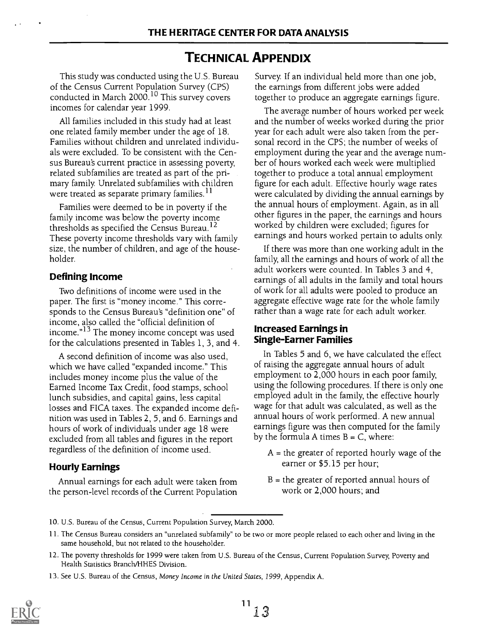## TECHNICAL APPENDIX

This study was conducted using the U.S. Bureau of the Census Current Population Survey (CPS) conducted in March 2000.'<sup>0</sup> This survey covers to<sub>l</sub> incomes for calendar year 1999.

All families included in this study had at least one related family member under the age of 18. Families without children and unrelated individuals were excluded. To be consistent with the Census Bureau's current practice in assessing poverty, related subfamilies are treated as part of the primary family. Unrelated subfamilies with children were treated as separate primary families.<sup>11</sup>

Families were deemed to be in poverty if the family income was below the poverty income thresholds as specified the Census Bureau.<sup>12</sup> These poverty income thresholds vary with family size, the number of children, and age of the householder.

#### Defining Income

Two definitions of income were used in the paper. The first is "money income." This corresponds to the Census Bureau's "definition one" of income, also called the "official definition of income."<sup>13</sup> The money income concept was used for the calculations presented in Tables 1, 3, and 4.

A second definition of income was also used, which we have called "expanded income." This includes money income plus the value of the Earned Income Tax Credit, food stamps, school lunch subsidies, and capital gains, less capital losses and FICA taxes. The expanded income definition was used in Tables 2, 5, and 6. Earnings and hours of work of individuals under age 18 were excluded from all tables and figures in the report regardless of the definition of income used.

### Hourly Earnings

Annual earnings for each adult were taken from the person-level records of the Current Population Survey. If an individual held more than one job, the earnings from different jobs were added together to produce an aggregate earnings figure.

The average number of hours worked per week and the number of weeks worked during the prior year for each adult were also taken from the personal record in the CPS; the number of weeks of employment during the year and the average number of hours worked each week were multiplied together to produce a total annual employment figure for each adult. Effective hourly wage rates were calculated by dividing the annual earnings by the annual hours of employment. Again, as in all other figures in the paper, the earnings and hours worked by children were excluded; figures for earnings and hours worked pertain to adults only.

If there was more than one working adult in the family, all the earnings and hours of work of all the adult workers were counted. In Tables 3 and 4, earnings of all adults in the family and total hours of work for all adults were pooled to produce an aggregate effective wage rate for the whole family rather than a wage rate for each adult worker.

#### Increased Earnings in Single-Earner Families

In Tables 5 and 6, we have calculated the effect of raising the aggregate annual hours of adult employment to 2,000 hours in each poor family, using the following procedures. If there is only one employed adult in the family, the effective hourly wage for that adult was calculated, as well as the annual hours of work performed. A new annual earnings figure was then computed for the family by the formula A times  $B = C$ , where:

- $A =$  the greater of reported hourly wage of the earner or \$5.15 per hour;
- $B =$  the greater of reported annual hours of work or 2,000 hours; and

10. U.S. Bureau of the Census, Current Population Survey, March 2000.

<sup>13.</sup> See U.S. Bureau of the Census, Money Income in the United States, 1999, Appendix A.



<sup>11.</sup> The Census Bureau considers an "unrelated subfamily" to be two or more people related to each other and living in the same household, but not related to the householder.

<sup>12.</sup> The poverty thresholds for 1999 were taken from U.S. Bureau of the Census, Current Population Survey, Poverty and Health Statistics Branch/HHES Division.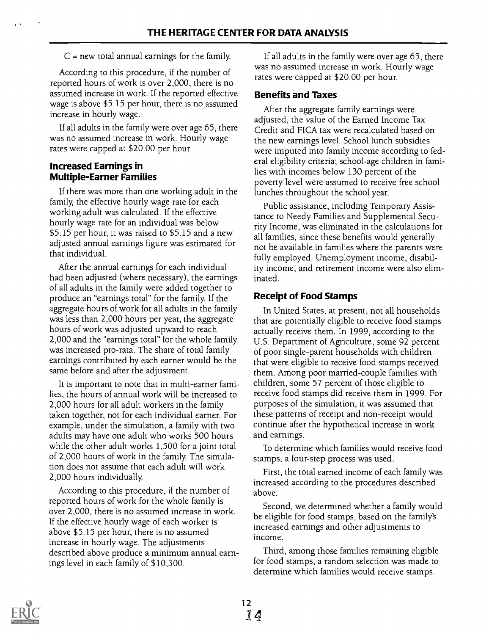### $C$  = new total annual earnings for the family.

According to this procedure, if the number of reported hours of work is over 2,000, there is no assumed increase in work. If the reported effective wage is above \$5.15 per hour, there is no assumed increase in hourly wage.

If all adults in the family were over age 65, there was no assumed increase in work. Hourly wage rates were capped at \$20.00 per hour.

### Increased Earnings in Multiple-Earner Families

If there was more than one working adult in the family, the effective hourly wage rate for each working adult was calculated. If the effective hourly wage rate for an individual was below \$5.15 per hour, it was raised to \$5.15 and a new adjusted annual earnings figure was estimated for that individual.

After the annual earnings for each individual had been adjusted (where necessary), the earnings of all adults in the family were added together to produce an "earnings total" for the family. If the aggregate hours of work for all adults in the family was less than 2,000 hours per year, the aggregate hours of work was adjusted upward to reach 2,000 and the "earnings total" for the whole family was increased pro-rata. The share of total family earnings contributed by each earner would be the same before and after the adjustment.

It is important to note that in multi-earner families, the hours of annual work will be increased to 2,000 hours for all adult workers in the family taken together, not for each individual earner. For example, under the simulation, a family with two adults may have one adult who works 500 hours while the other adult works 1,500 for a joint total of 2,000 hours of work in the family. The simulation does not assume that each adult will work 2,000 hours individually.

According to this procedure, if the number of reported hours of work for the whole family is over 2,000, there is no assumed increase in work. If the effective hourly wage of each worker is above \$5.15 per hour, there is no assumed increase in hourly wage. The adjustments described above produce a minimum annual earnings level in each family of \$10,300.

If all adults in the family were over age 65, there was no assumed increase in work. Hourly wage rates were capped at \$20.00 per hour.

## Benefits and Taxes

After the aggregate family earnings were adjusted, the value of the Earned Income Tax Credit and FICA tax were recalculated based on the new earnings level. School lunch subsidies were imputed into family income according to federal eligibility criteria; school-age children in families with incomes below 130 percent of the poverty level were assumed to receive free school lunches throughout the school year.

Public assistance, including Temporary Assistance to Needy Families and Supplemental Security Income, was eliminated in the calculations for all families, since these benefits would generally not be available in families where the parents were fully employed. Unemployment income, disability income, and retirement income were also eliminated.

## Receipt of Food Stamps

In United States, at present, not all households that are potentially eligible to receive food stamps actually receive them. In 1999, according to the U.S. Department of Agriculture, some 92 percent of poor single-parent households with children that were eligible to receive food stamps received them. Among poor married-couple families with children, some 57 percent of those eligible to receive food stamps did receive them in 1999. For purposes of the simulation, it was assumed that these patterns of receipt and non-receipt would continue after the hypothetical increase in work and earnings.

To determine which families would receive food stamps, a four-step process was used.

First, the total earned income of each family was increased according to the procedures described above.

Second, we determined whether a family would be eligible for food stamps, based on the family's increased earnings and other adjustments to income.

Third, among those families remaining eligible for food stamps, a random selection was made to determine which families would receive stamps.

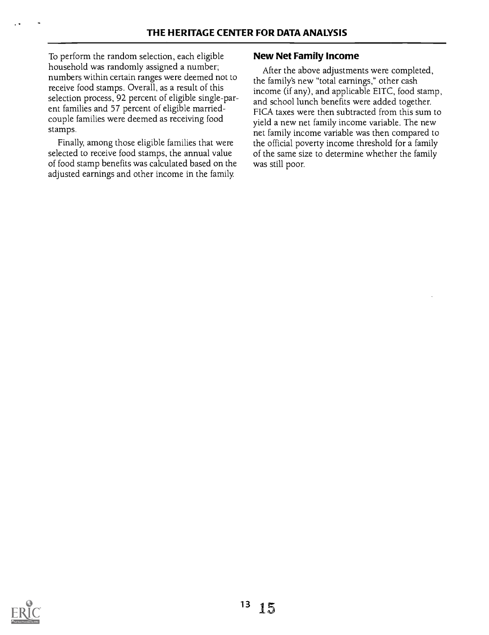To perform the random selection, each eligible household was randomly assigned a number; numbers within certain ranges were deemed not to receive food stamps. Overall, as a result of this selection process, 92 percent of eligible single-parent families and 57 percent of eligible marriedcouple families were deemed as receiving food stamps.

Finally, among those eligible families that were selected to receive food stamps, the annual value of food stamp benefits was calculated based on the adjusted earnings and other income in the family.

## New Net Family Income

After the above adjustments were completed, the family's new "total earnings," other cash income (if any), and applicable EITC, food stamp, and school lunch benefits were added together. FICA taxes were then subtracted from this sum to yield a new net family income variable. The new net family income variable was then compared to the official poverty income threshold for a family of the same size to determine whether the family was still poor.